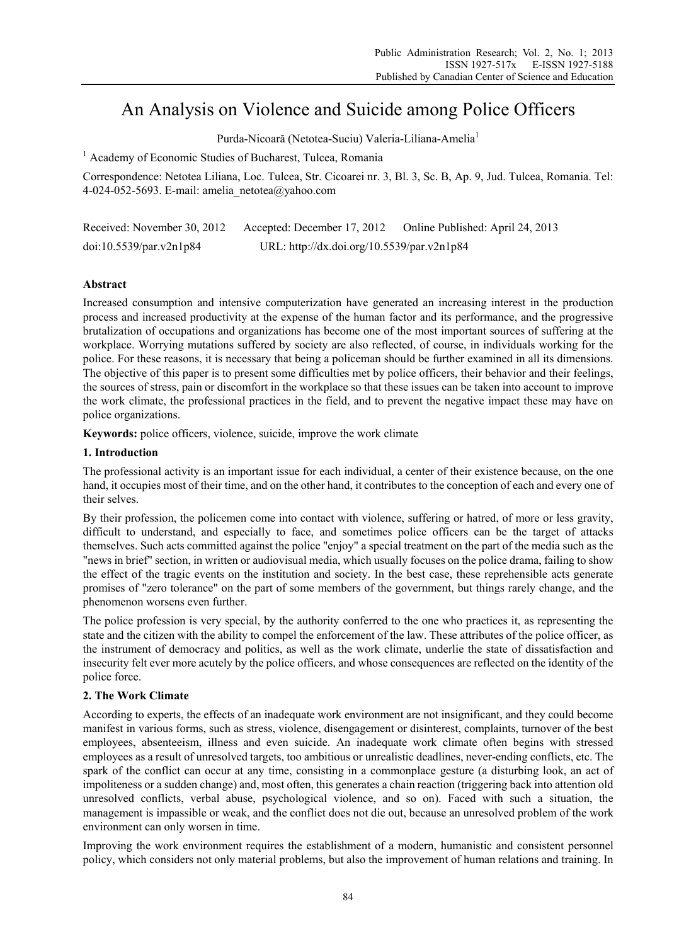# An Analysis on Violence and Suicide among Police Officers

Purda-Nicoară (Netotea-Suciu) Valeria-Liliana-Amelia<sup>1</sup>

<sup>1</sup> Academy of Economic Studies of Bucharest, Tulcea, Romania

Correspondence: Netotea Liliana, Loc. Tulcea, Str. Cicoarei nr. 3, Bl. 3, Sc. B, Ap. 9, Jud. Tulcea, Romania. Tel: 4-024-052-5693. E-mail: amelia\_netotea@yahoo.com

| Received: November 30, 2012 | Accepted: December 17, 2012                | Online Published: April 24, 2013 |
|-----------------------------|--------------------------------------------|----------------------------------|
| doi:10.5539/par.v2n1p84     | URL: http://dx.doi.org/10.5539/par.v2n1p84 |                                  |

## **Abstract**

Increased consumption and intensive computerization have generated an increasing interest in the production process and increased productivity at the expense of the human factor and its performance, and the progressive brutalization of occupations and organizations has become one of the most important sources of suffering at the workplace. Worrying mutations suffered by society are also reflected, of course, in individuals working for the police. For these reasons, it is necessary that being a policeman should be further examined in all its dimensions. The objective of this paper is to present some difficulties met by police officers, their behavior and their feelings, the sources of stress, pain or discomfort in the workplace so that these issues can be taken into account to improve the work climate, the professional practices in the field, and to prevent the negative impact these may have on police organizations.

**Keywords:** police officers, violence, suicide, improve the work climate

#### **1. Introduction**

The professional activity is an important issue for each individual, a center of their existence because, on the one hand, it occupies most of their time, and on the other hand, it contributes to the conception of each and every one of their selves.

By their profession, the policemen come into contact with violence, suffering or hatred, of more or less gravity, difficult to understand, and especially to face, and sometimes police officers can be the target of attacks themselves. Such acts committed against the police "enjoy" a special treatment on the part of the media such as the "news in brief" section, in written or audiovisual media, which usually focuses on the police drama, failing to show the effect of the tragic events on the institution and society. In the best case, these reprehensible acts generate promises of "zero tolerance" on the part of some members of the government, but things rarely change, and the phenomenon worsens even further.

The police profession is very special, by the authority conferred to the one who practices it, as representing the state and the citizen with the ability to compel the enforcement of the law. These attributes of the police officer, as the instrument of democracy and politics, as well as the work climate, underlie the state of dissatisfaction and insecurity felt ever more acutely by the police officers, and whose consequences are reflected on the identity of the police force.

### **2. The Work Climate**

According to experts, the effects of an inadequate work environment are not insignificant, and they could become manifest in various forms, such as stress, violence, disengagement or disinterest, complaints, turnover of the best employees, absenteeism, illness and even suicide. An inadequate work climate often begins with stressed employees as a result of unresolved targets, too ambitious or unrealistic deadlines, never-ending conflicts, etc. The spark of the conflict can occur at any time, consisting in a commonplace gesture (a disturbing look, an act of impoliteness or a sudden change) and, most often, this generates a chain reaction (triggering back into attention old unresolved conflicts, verbal abuse, psychological violence, and so on). Faced with such a situation, the management is impassible or weak, and the conflict does not die out, because an unresolved problem of the work environment can only worsen in time.

Improving the work environment requires the establishment of a modern, humanistic and consistent personnel policy, which considers not only material problems, but also the improvement of human relations and training. In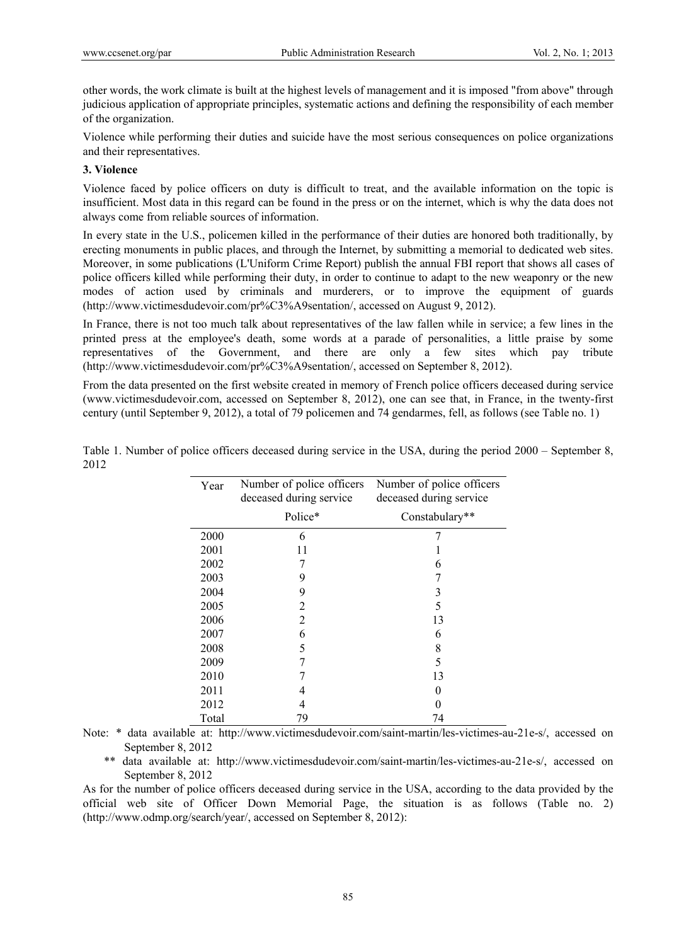other words, the work climate is built at the highest levels of management and it is imposed "from above" through judicious application of appropriate principles, systematic actions and defining the responsibility of each member of the organization.

Violence while performing their duties and suicide have the most serious consequences on police organizations and their representatives.

#### **3. Violence**

Violence faced by police officers on duty is difficult to treat, and the available information on the topic is insufficient. Most data in this regard can be found in the press or on the internet, which is why the data does not always come from reliable sources of information.

In every state in the U.S., policemen killed in the performance of their duties are honored both traditionally, by erecting monuments in public places, and through the Internet, by submitting a memorial to dedicated web sites. Moreover, in some publications (L'Uniform Crime Report) publish the annual FBI report that shows all cases of police officers killed while performing their duty, in order to continue to adapt to the new weaponry or the new modes of action used by criminals and murderers, or to improve the equipment of guards (http://www.victimesdudevoir.com/pr%C3%A9sentation/, accessed on August 9, 2012).

In France, there is not too much talk about representatives of the law fallen while in service; a few lines in the printed press at the employee's death, some words at a parade of personalities, a little praise by some representatives of the Government, and there are only a few sites which pay tribute (http://www.victimesdudevoir.com/pr%C3%A9sentation/, accessed on September 8, 2012).

From the data presented on the first website created in memory of French police officers deceased during service (www.victimesdudevoir.com, accessed on September 8, 2012), one can see that, in France, in the twenty-first century (until September 9, 2012), a total of 79 policemen and 74 gendarmes, fell, as follows (see Table no. 1)

| Year  | Number of police officers<br>deceased during service | Number of police officers<br>deceased during service |
|-------|------------------------------------------------------|------------------------------------------------------|
|       | Police*                                              | Constabulary**                                       |
| 2000  | 6                                                    | 7                                                    |
| 2001  | 11                                                   |                                                      |
| 2002  | 7                                                    | 6                                                    |
| 2003  | 9                                                    |                                                      |
| 2004  | 9                                                    | 3                                                    |
| 2005  | 2                                                    | 5                                                    |
| 2006  | $\mathfrak{D}$                                       | 13                                                   |
| 2007  | 6                                                    | 6                                                    |
| 2008  | 5                                                    | 8                                                    |
| 2009  |                                                      | 5                                                    |
| 2010  |                                                      | 13                                                   |
| 2011  | 4                                                    | 0                                                    |
| 2012  | 4                                                    |                                                      |
| Total | 79                                                   | 74                                                   |

Table 1. Number of police officers deceased during service in the USA, during the period 2000 – September 8, 2012

Note: \* data available at: http://www.victimesdudevoir.com/saint-martin/les-victimes-au-21e-s/, accessed on September 8, 2012

\*\* data available at: http://www.victimesdudevoir.com/saint-martin/les-victimes-au-21e-s/, accessed on September 8, 2012

As for the number of police officers deceased during service in the USA, according to the data provided by the official web site of Officer Down Memorial Page, the situation is as follows (Table no. 2) (http://www.odmp.org/search/year/, accessed on September 8, 2012):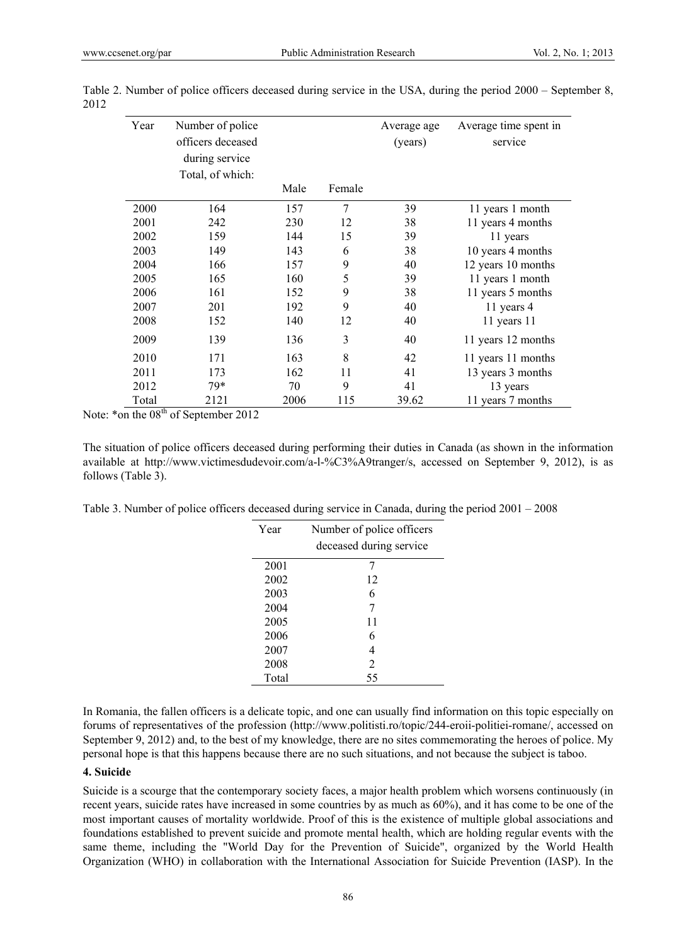| Year  | Number of police  |      |        | Average age | Average time spent in |
|-------|-------------------|------|--------|-------------|-----------------------|
|       | officers deceased |      |        | (years)     | service               |
|       | during service    |      |        |             |                       |
|       | Total, of which:  |      |        |             |                       |
|       |                   | Male | Female |             |                       |
| 2000  | 164               | 157  | 7      | 39          | 11 years 1 month      |
| 2001  | 242               | 230  | 12     | 38          | 11 years 4 months     |
| 2002  | 159               | 144  | 15     | 39          | 11 years              |
| 2003  | 149               | 143  | 6      | 38          | 10 years 4 months     |
| 2004  | 166               | 157  | 9      | 40          | 12 years 10 months    |
| 2005  | 165               | 160  | 5      | 39          | 11 years 1 month      |
| 2006  | 161               | 152  | 9      | 38          | 11 years 5 months     |
| 2007  | 201               | 192  | 9      | 40          | 11 years 4            |
| 2008  | 152               | 140  | 12     | 40          | 11 years $11$         |
| 2009  | 139               | 136  | 3      | 40          | 11 years 12 months    |
| 2010  | 171               | 163  | 8      | 42          | 11 years 11 months    |
| 2011  | 173               | 162  | 11     | 41          | 13 years 3 months     |
| 2012  | 79*               | 70   | 9      | 41          | 13 years              |
| Total | 2121              | 2006 | 115    | 39.62       | 11 years 7 months     |

Table 2. Number of police officers deceased during service in the USA, during the period 2000 – September 8, 2012

Note: \*on the 08<sup>th</sup> of September 2012

The situation of police officers deceased during performing their duties in Canada (as shown in the information available at http://www.victimesdudevoir.com/a-l-%C3%A9tranger/s, accessed on September 9, 2012), is as follows (Table 3).

| Table 3. Number of police officers deceased during service in Canada, during the period $2001 - 2008$ |  |  |  |
|-------------------------------------------------------------------------------------------------------|--|--|--|
|                                                                                                       |  |  |  |

| Year  | Number of police officers |
|-------|---------------------------|
|       | deceased during service   |
| 2001  |                           |
| 2002  | 12                        |
| 2003  | 6                         |
| 2004  | 7                         |
| 2005  | 11                        |
| 2006  | 6                         |
| 2007  | 4                         |
| 2008  | 2                         |
| Total | 55                        |

In Romania, the fallen officers is a delicate topic, and one can usually find information on this topic especially on forums of representatives of the profession (http://www.politisti.ro/topic/244-eroii-politiei-romane/, accessed on September 9, 2012) and, to the best of my knowledge, there are no sites commemorating the heroes of police. My personal hope is that this happens because there are no such situations, and not because the subject is taboo.

#### **4. Suicide**

Suicide is a scourge that the contemporary society faces, a major health problem which worsens continuously (in recent years, suicide rates have increased in some countries by as much as 60%), and it has come to be one of the most important causes of mortality worldwide. Proof of this is the existence of multiple global associations and foundations established to prevent suicide and promote mental health, which are holding regular events with the same theme, including the "World Day for the Prevention of Suicide", organized by the World Health Organization (WHO) in collaboration with the International Association for Suicide Prevention (IASP). In the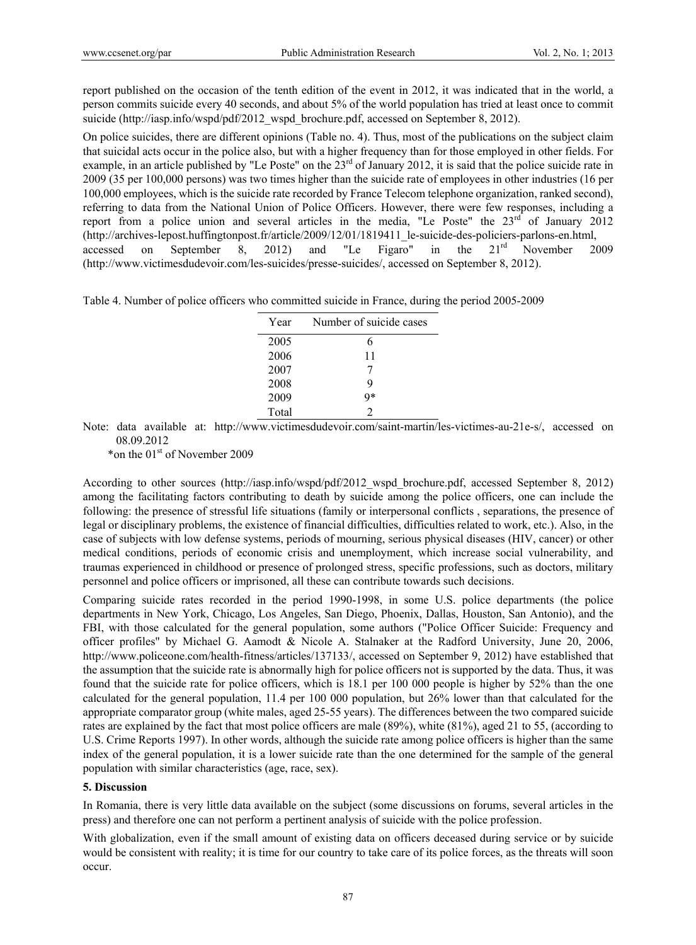report published on the occasion of the tenth edition of the event in 2012, it was indicated that in the world, a person commits suicide every 40 seconds, and about 5% of the world population has tried at least once to commit suicide (http://iasp.info/wspd/pdf/2012\_wspd\_brochure.pdf, accessed on September 8, 2012).

On police suicides, there are different opinions (Table no. 4). Thus, most of the publications on the subject claim that suicidal acts occur in the police also, but with a higher frequency than for those employed in other fields. For example, in an article published by "Le Poste" on the  $23<sup>rd</sup>$  of January 2012, it is said that the police suicide rate in 2009 (35 per 100,000 persons) was two times higher than the suicide rate of employees in other industries (16 per 100,000 employees, which is the suicide rate recorded by France Telecom telephone organization, ranked second), referring to data from the National Union of Police Officers. However, there were few responses, including a report from a police union and several articles in the media, "Le Poste" the  $23<sup>rd</sup>$  of January 2012 (http://archives-lepost.huffingtonpost.fr/article/2009/12/01/1819411\_le-suicide-des-policiers-parlons-en.html, accessed on September 8, 2012) and "Le Figaro" in the  $21<sup>rd</sup>$  November 2009 (http://www.victimesdudevoir.com/les-suicides/presse-suicides/, accessed on September 8, 2012).

| Table 4. Number of police officers who committed suicide in France, during the period 2005-2009 |
|-------------------------------------------------------------------------------------------------|
|-------------------------------------------------------------------------------------------------|

| Year  | Number of suicide cases |
|-------|-------------------------|
| 2005  | 6                       |
| 2006  | 11                      |
| 2007  | 7                       |
| 2008  | q                       |
| 2009  | 9*                      |
| Total |                         |

Note: data available at: http://www.victimesdudevoir.com/saint-martin/les-victimes-au-21e-s/, accessed on 08.09.2012

\*on the 01st of November 2009

According to other sources (http://iasp.info/wspd/pdf/2012\_wspd\_brochure.pdf, accessed September 8, 2012) among the facilitating factors contributing to death by suicide among the police officers, one can include the following: the presence of stressful life situations (family or interpersonal conflicts , separations, the presence of legal or disciplinary problems, the existence of financial difficulties, difficulties related to work, etc.). Also, in the case of subjects with low defense systems, periods of mourning, serious physical diseases (HIV, cancer) or other medical conditions, periods of economic crisis and unemployment, which increase social vulnerability, and traumas experienced in childhood or presence of prolonged stress, specific professions, such as doctors, military personnel and police officers or imprisoned, all these can contribute towards such decisions.

Comparing suicide rates recorded in the period 1990-1998, in some U.S. police departments (the police departments in New York, Chicago, Los Angeles, San Diego, Phoenix, Dallas, Houston, San Antonio), and the FBI, with those calculated for the general population, some authors ("Police Officer Suicide: Frequency and officer profiles" by Michael G. Aamodt & Nicole A. Stalnaker at the Radford University, June 20, 2006, http://www.policeone.com/health-fitness/articles/137133/, accessed on September 9, 2012) have established that the assumption that the suicide rate is abnormally high for police officers not is supported by the data. Thus, it was found that the suicide rate for police officers, which is 18.1 per 100 000 people is higher by 52% than the one calculated for the general population, 11.4 per 100 000 population, but 26% lower than that calculated for the appropriate comparator group (white males, aged 25-55 years). The differences between the two compared suicide rates are explained by the fact that most police officers are male (89%), white (81%), aged 21 to 55, (according to U.S. Crime Reports 1997). In other words, although the suicide rate among police officers is higher than the same index of the general population, it is a lower suicide rate than the one determined for the sample of the general population with similar characteristics (age, race, sex).

#### **5. Discussion**

In Romania, there is very little data available on the subject (some discussions on forums, several articles in the press) and therefore one can not perform a pertinent analysis of suicide with the police profession.

With globalization, even if the small amount of existing data on officers deceased during service or by suicide would be consistent with reality; it is time for our country to take care of its police forces, as the threats will soon occur.